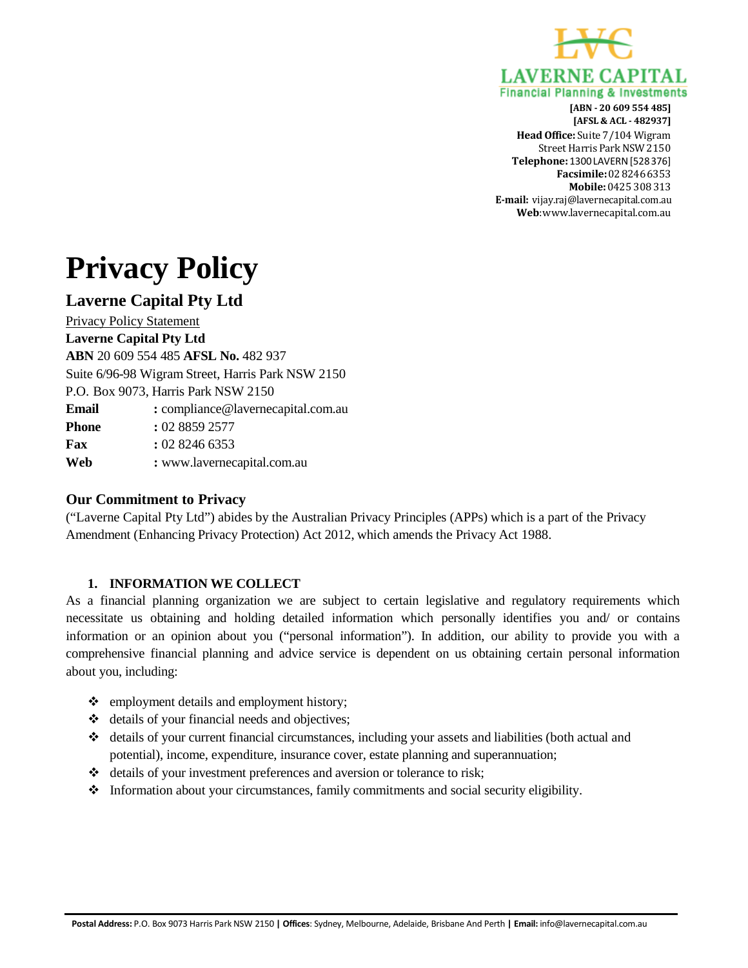

# **Privacy Policy**

# **Laverne Capital Pty Ltd**

Privacy Policy Statement

**Laverne Capital Pty Ltd ABN** 20 609 554 485 **AFSL No.** 482 937 Suite 6/96-98 Wigram Street, Harris Park NSW 2150 P.O. Box 9073, Harris Park NSW 2150 **Email :** [compliance@lavernecapital.com.au](mailto:compliance@lavernecapital.com.au) **Phone :** 02 8859 2577 **Fax :** 02 8246 6353 **Web :** [www.lavernecapital.com.au](http://www.lavernecapital.com.au/)

# **Our Commitment to Privacy**

("Laverne Capital Pty Ltd") abides by the Australian Privacy Principles (APPs) which is a part of the Privacy Amendment (Enhancing Privacy Protection) Act 2012, which amends the Privacy Act 1988.

# **1. INFORMATION WE COLLECT**

As a financial planning organization we are subject to certain legislative and regulatory requirements which necessitate us obtaining and holding detailed information which personally identifies you and/ or contains information or an opinion about you ("personal information"). In addition, our ability to provide you with a comprehensive financial planning and advice service is dependent on us obtaining certain personal information about you, including:

- $\triangleleft$  employment details and employment history;
- $\triangleleft$  details of your financial needs and objectives;
- details of your current financial circumstances, including your assets and liabilities (both actual and potential), income, expenditure, insurance cover, estate planning and superannuation;
- details of your investment preferences and aversion or tolerance to risk;
- $\triangleleft$  Information about your circumstances, family commitments and social security eligibility.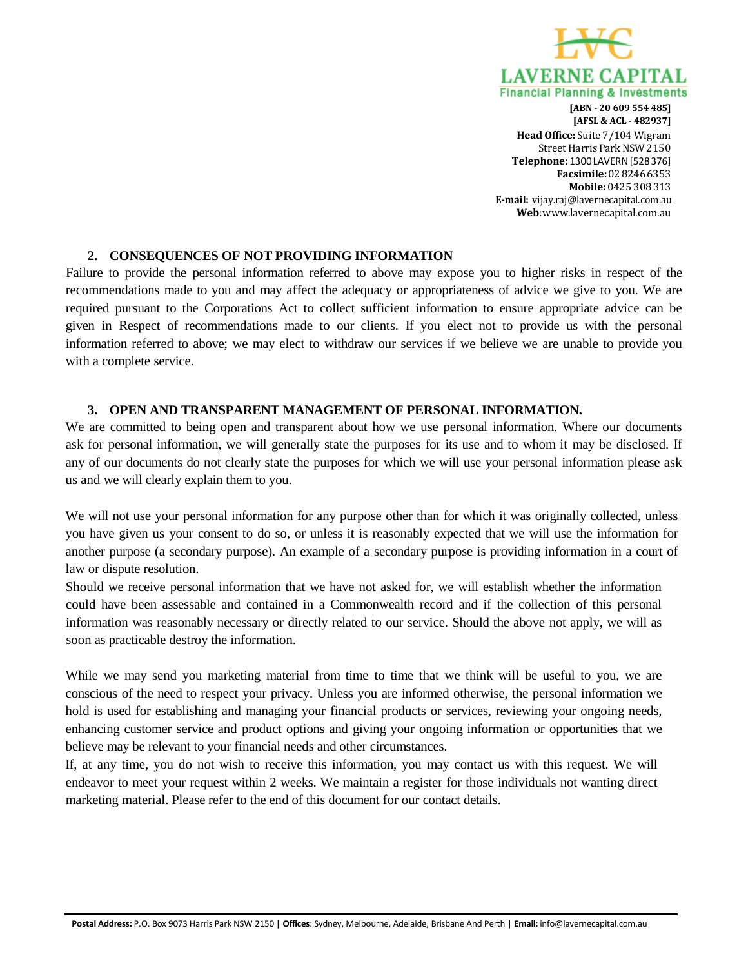

# **2. CONSEQUENCES OF NOT PROVIDING INFORMATION**

Failure to provide the personal information referred to above may expose you to higher risks in respect of the recommendations made to you and may affect the adequacy or appropriateness of advice we give to you. We are required pursuant to the Corporations Act to collect sufficient information to ensure appropriate advice can be given in Respect of recommendations made to our clients. If you elect not to provide us with the personal information referred to above; we may elect to withdraw our services if we believe we are unable to provide you with a complete service.

#### **3. OPEN AND TRANSPARENT MANAGEMENT OF PERSONAL INFORMATION.**

We are committed to being open and transparent about how we use personal information. Where our documents ask for personal information, we will generally state the purposes for its use and to whom it may be disclosed. If any of our documents do not clearly state the purposes for which we will use your personal information please ask us and we will clearly explain them to you.

We will not use your personal information for any purpose other than for which it was originally collected, unless you have given us your consent to do so, or unless it is reasonably expected that we will use the information for another purpose (a secondary purpose). An example of a secondary purpose is providing information in a court of law or dispute resolution.

Should we receive personal information that we have not asked for, we will establish whether the information could have been assessable and contained in a Commonwealth record and if the collection of this personal information was reasonably necessary or directly related to our service. Should the above not apply, we will as soon as practicable destroy the information.

While we may send you marketing material from time to time that we think will be useful to you, we are conscious of the need to respect your privacy. Unless you are informed otherwise, the personal information we hold is used for establishing and managing your financial products or services, reviewing your ongoing needs, enhancing customer service and product options and giving your ongoing information or opportunities that we believe may be relevant to your financial needs and other circumstances.

If, at any time, you do not wish to receive this information, you may contact us with this request. We will endeavor to meet your request within 2 weeks. We maintain a register for those individuals not wanting direct marketing material. Please refer to the end of this document for our contact details.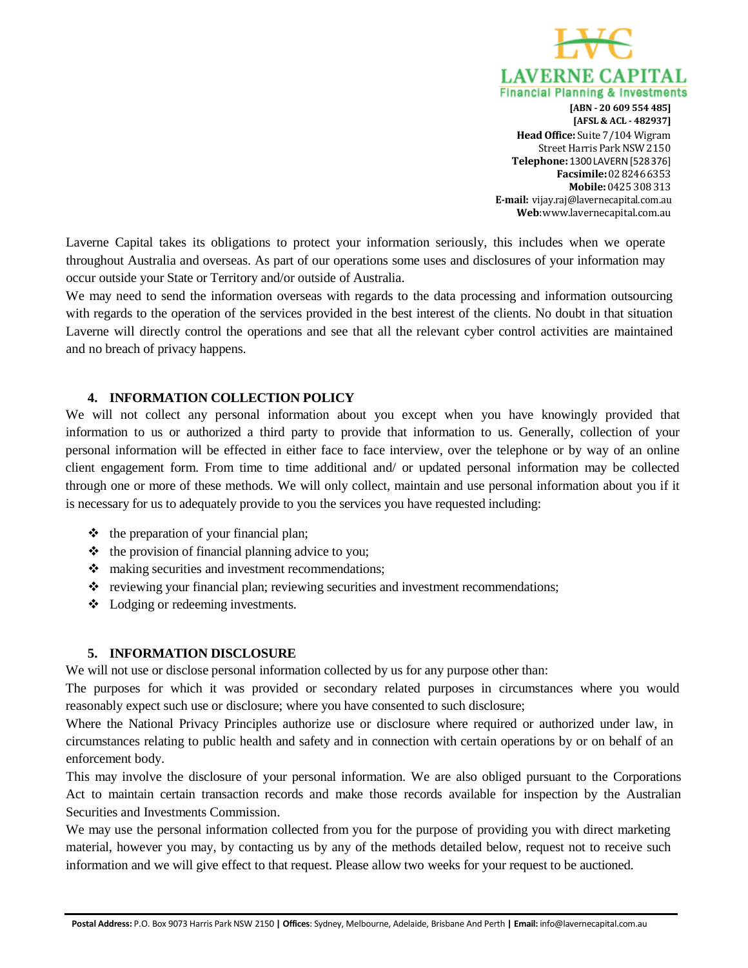

Laverne Capital takes its obligations to protect your information seriously, this includes when we operate throughout Australia and overseas. As part of our operations some uses and disclosures of your information may occur outside your State or Territory and/or outside of Australia.

We may need to send the information overseas with regards to the data processing and information outsourcing with regards to the operation of the services provided in the best interest of the clients. No doubt in that situation Laverne will directly control the operations and see that all the relevant cyber control activities are maintained and no breach of privacy happens.

#### **4. INFORMATION COLLECTION POLICY**

We will not collect any personal information about you except when you have knowingly provided that information to us or authorized a third party to provide that information to us. Generally, collection of your personal information will be effected in either face to face interview, over the telephone or by way of an online client engagement form. From time to time additional and/ or updated personal information may be collected through one or more of these methods. We will only collect, maintain and use personal information about you if it is necessary for us to adequately provide to you the services you have requested including:

- $\triangleleft$  the preparation of your financial plan;
- $\triangle$  the provision of financial planning advice to you;
- $\triangle$  making securities and investment recommendations;
- $\cdot \cdot$  reviewing your financial plan; reviewing securities and investment recommendations;
- Lodging or redeeming investments.

#### **5. INFORMATION DISCLOSURE**

We will not use or disclose personal information collected by us for any purpose other than:

The purposes for which it was provided or secondary related purposes in circumstances where you would reasonably expect such use or disclosure; where you have consented to such disclosure;

Where the National Privacy Principles authorize use or disclosure where required or authorized under law, in circumstances relating to public health and safety and in connection with certain operations by or on behalf of an enforcement body.

This may involve the disclosure of your personal information. We are also obliged pursuant to the Corporations Act to maintain certain transaction records and make those records available for inspection by the Australian Securities and Investments Commission.

We may use the personal information collected from you for the purpose of providing you with direct marketing material, however you may, by contacting us by any of the methods detailed below, request not to receive such information and we will give effect to that request. Please allow two weeks for your request to be auctioned.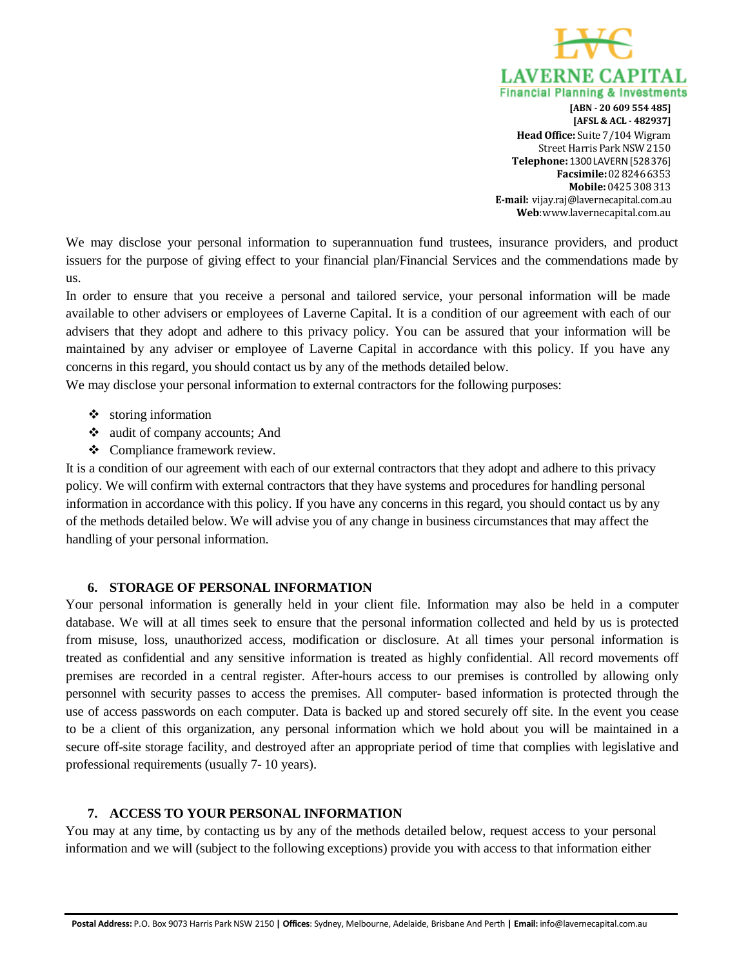

We may disclose your personal information to superannuation fund trustees, insurance providers, and product issuers for the purpose of giving effect to your financial plan/Financial Services and the commendations made by us.

In order to ensure that you receive a personal and tailored service, your personal information will be made available to other advisers or employees of Laverne Capital. It is a condition of our agreement with each of our advisers that they adopt and adhere to this privacy policy. You can be assured that your information will be maintained by any adviser or employee of Laverne Capital in accordance with this policy. If you have any concerns in this regard, you should contact us by any of the methods detailed below.

We may disclose your personal information to external contractors for the following purposes:

- $\div$  storing information
- audit of company accounts; And
- Compliance framework review.

It is a condition of our agreement with each of our external contractors that they adopt and adhere to this privacy policy. We will confirm with external contractors that they have systems and procedures for handling personal information in accordance with this policy. If you have any concerns in this regard, you should contact us by any of the methods detailed below. We will advise you of any change in business circumstances that may affect the handling of your personal information.

# **6. STORAGE OF PERSONAL INFORMATION**

Your personal information is generally held in your client file. Information may also be held in a computer database. We will at all times seek to ensure that the personal information collected and held by us is protected from misuse, loss, unauthorized access, modification or disclosure. At all times your personal information is treated as confidential and any sensitive information is treated as highly confidential. All record movements off premises are recorded in a central register. After-hours access to our premises is controlled by allowing only personnel with security passes to access the premises. All computer- based information is protected through the use of access passwords on each computer. Data is backed up and stored securely off site. In the event you cease to be a client of this organization, any personal information which we hold about you will be maintained in a secure off-site storage facility, and destroyed after an appropriate period of time that complies with legislative and professional requirements (usually 7- 10 years).

# **7. ACCESS TO YOUR PERSONAL INFORMATION**

You may at any time, by contacting us by any of the methods detailed below, request access to your personal information and we will (subject to the following exceptions) provide you with access to that information either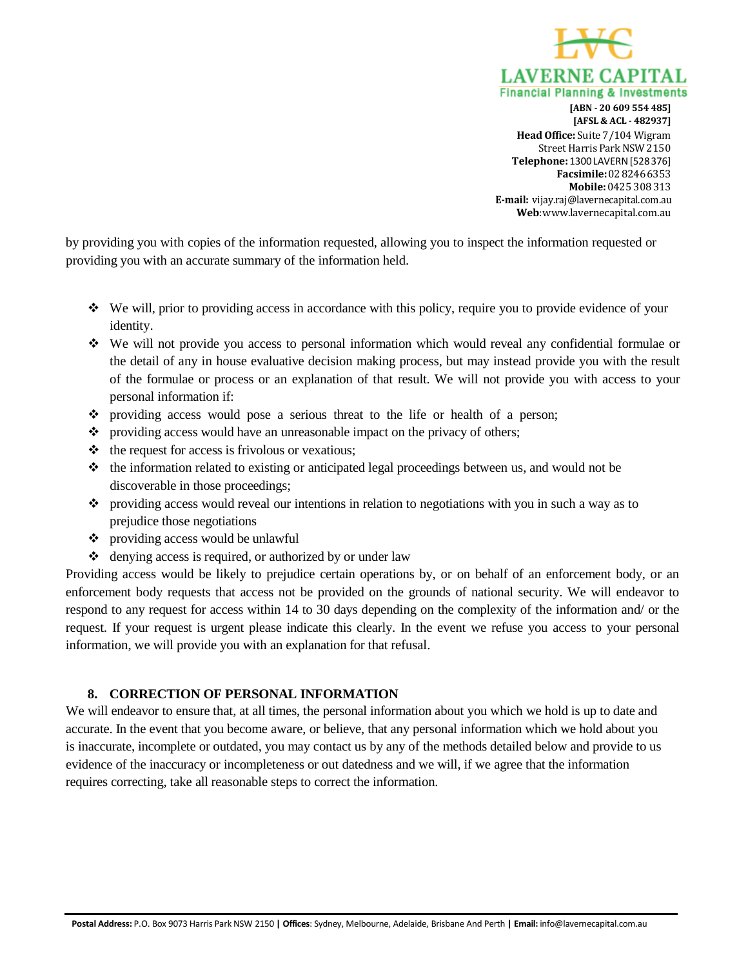

by providing you with copies of the information requested, allowing you to inspect the information requested or providing you with an accurate summary of the information held.

- We will, prior to providing access in accordance with this policy, require you to provide evidence of your identity.
- We will not provide you access to personal information which would reveal any confidential formulae or the detail of any in house evaluative decision making process, but may instead provide you with the result of the formulae or process or an explanation of that result. We will not provide you with access to your personal information if:
- providing access would pose a serious threat to the life or health of a person;
- \* providing access would have an unreasonable impact on the privacy of others;
- $\triangleleft$  the request for access is frivolous or vexatious;
- $\cdot \cdot$  the information related to existing or anticipated legal proceedings between us, and would not be discoverable in those proceedings;
- providing access would reveal our intentions in relation to negotiations with you in such a way as to prejudice those negotiations
- providing access would be unlawful
- denying access is required, or authorized by or under law

Providing access would be likely to prejudice certain operations by, or on behalf of an enforcement body, or an enforcement body requests that access not be provided on the grounds of national security. We will endeavor to respond to any request for access within 14 to 30 days depending on the complexity of the information and/ or the request. If your request is urgent please indicate this clearly. In the event we refuse you access to your personal information, we will provide you with an explanation for that refusal.

#### **8. CORRECTION OF PERSONAL INFORMATION**

We will endeavor to ensure that, at all times, the personal information about you which we hold is up to date and accurate. In the event that you become aware, or believe, that any personal information which we hold about you is inaccurate, incomplete or outdated, you may contact us by any of the methods detailed below and provide to us evidence of the inaccuracy or incompleteness or out datedness and we will, if we agree that the information requires correcting, take all reasonable steps to correct the information.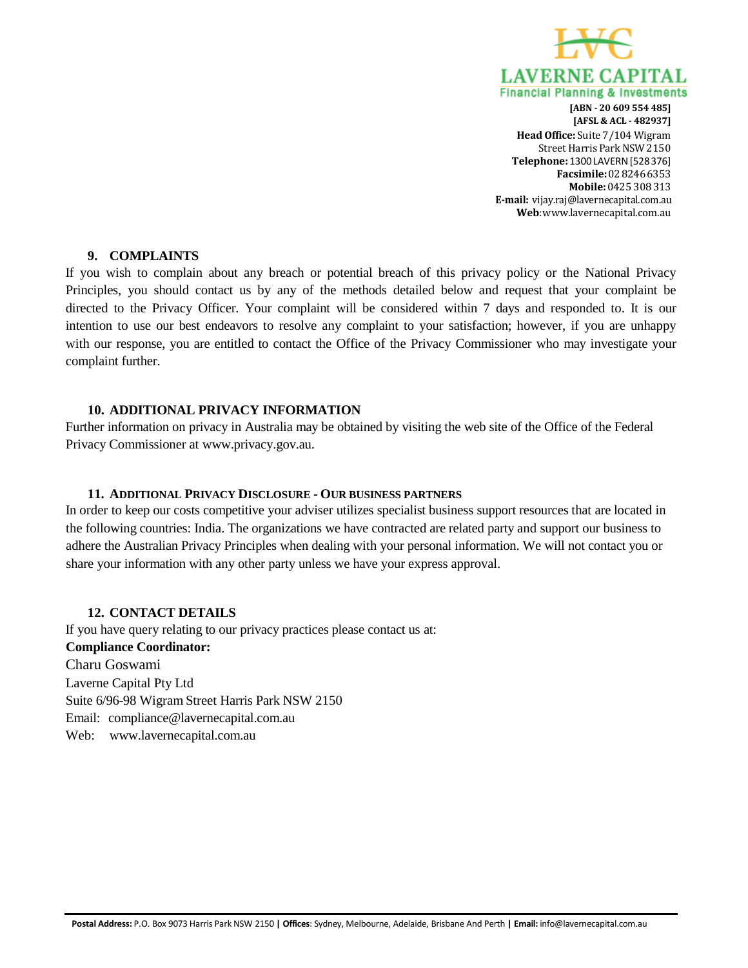

#### **9. COMPLAINTS**

If you wish to complain about any breach or potential breach of this privacy policy or the National Privacy Principles, you should contact us by any of the methods detailed below and request that your complaint be directed to the Privacy Officer. Your complaint will be considered within 7 days and responded to. It is our intention to use our best endeavors to resolve any complaint to your satisfaction; however, if you are unhappy with our response, you are entitled to contact the Office of the Privacy Commissioner who may investigate your complaint further.

#### **10. ADDITIONAL PRIVACY INFORMATION**

Further information on privacy in Australia may be obtained by visiting the web site of the Office of the Federal Privacy Commissioner at [www.privacy.gov.au.](http://www.privacy.gov.au/)

#### **11. ADDITIONAL PRIVACY DISCLOSURE - OUR BUSINESS PARTNERS**

In order to keep our costs competitive your adviser utilizes specialist business support resources that are located in the following countries: India. The organizations we have contracted are related party and support our business to adhere the Australian Privacy Principles when dealing with your personal information. We will not contact you or share your information with any other party unless we have your express approval.

# **12. CONTACT DETAILS**

If you have query relating to our privacy practices please contact us at: **Compliance Coordinator:** Charu Goswami Laverne Capital Pty Ltd Suite 6/96-98 Wigram Street Harris Park NSW 2150 Email: [compliance@lavernecapital.com.au](mailto:compliance@lavernecapital.com.au) Web: [www.lavernecapital.com.au](http://www.lavernecapital.com.au/)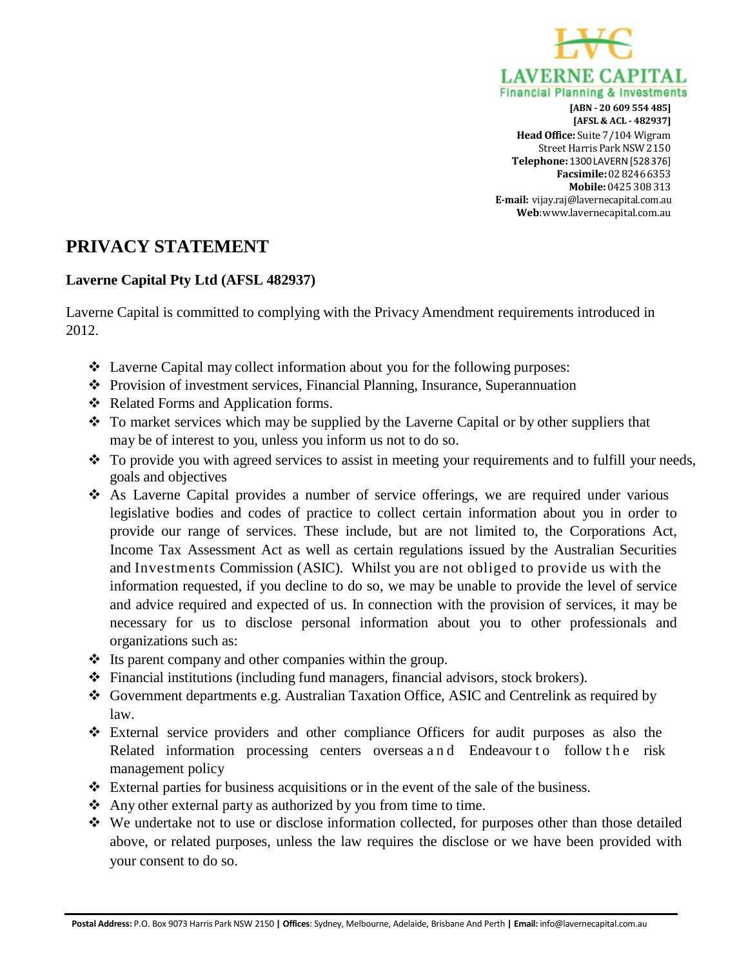

# **PRIVACY STATEMENT**

# **Laverne Capital Pty Ltd (AFSL 482937)**

Laverne Capital is committed to complying with the Privacy Amendment requirements introduced in 2012.

- Laverne Capital may collect information about you for the following purposes:
- Provision of investment services, Financial Planning, Insurance, Superannuation
- Related Forms and Application forms.
- To market services which may be supplied by the Laverne Capital or by other suppliers that may be of interest to you, unless you inform us not to do so.
- $\bullet$  To provide you with agreed services to assist in meeting your requirements and to fulfill your needs, goals and objectives
- As Laverne Capital provides a number of service offerings, we are required under various legislative bodies and codes of practice to collect certain information about you in order to provide our range of services. These include, but are not limited to, the Corporations Act, Income Tax Assessment Act as well as certain regulations issued by the Australian Securities and Investments Commission (ASIC). Whilst you are not obliged to provide us with the information requested, if you decline to do so, we may be unable to provide the level of service and advice required and expected of us. In connection with the provision of services, it may be necessary for us to disclose personal information about you to other professionals and organizations such as:
- $\triangleq$  Its parent company and other companies within the group.
- $\div$  Financial institutions (including fund managers, financial advisors, stock brokers).
- Government departments e.g. Australian Taxation Office, ASIC and Centrelink as required by law.
- External service providers and other compliance Officers for audit purposes as also the Related information processing centers overseas and Endeavour to follow the risk management policy
- $\div$  External parties for business acquisitions or in the event of the sale of the business.
- Any other external party as authorized by you from time to time.
- We undertake not to use or disclose information collected, for purposes other than those detailed above, or related purposes, unless the law requires the disclose or we have been provided with your consent to do so.